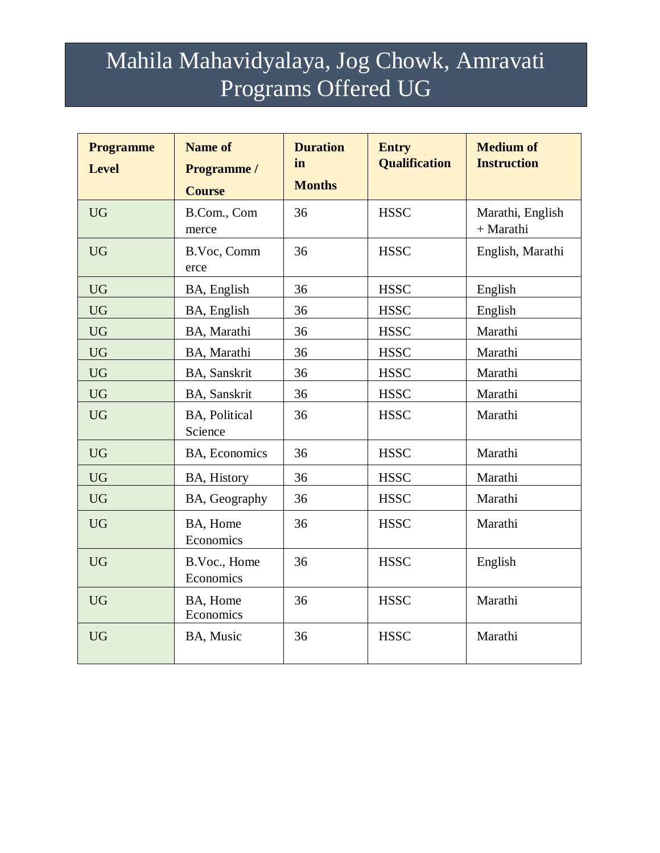## Mahila Mahavidyalaya, Jog Chowk, Amravati Programs Offered UG

| <b>Programme</b><br><b>Level</b> | <b>Name of</b><br>Programme /<br><b>Course</b> | <b>Duration</b><br>in<br><b>Months</b> | <b>Entry</b><br><b>Qualification</b> | <b>Medium of</b><br><b>Instruction</b> |
|----------------------------------|------------------------------------------------|----------------------------------------|--------------------------------------|----------------------------------------|
| <b>UG</b>                        | B.Com., Com<br>merce                           | 36                                     | <b>HSSC</b>                          | Marathi, English<br>$+$ Marathi        |
| <b>UG</b>                        | B.Voc, Comm<br>erce                            | 36                                     | <b>HSSC</b>                          | English, Marathi                       |
| <b>UG</b>                        | BA, English                                    | 36                                     | <b>HSSC</b>                          | English                                |
| <b>UG</b>                        | BA, English                                    | 36                                     | <b>HSSC</b>                          | English                                |
| <b>UG</b>                        | BA, Marathi                                    | 36                                     | <b>HSSC</b>                          | Marathi                                |
| <b>UG</b>                        | BA, Marathi                                    | 36                                     | <b>HSSC</b>                          | Marathi                                |
| <b>UG</b>                        | BA, Sanskrit                                   | 36                                     | <b>HSSC</b>                          | Marathi                                |
| <b>UG</b>                        | BA, Sanskrit                                   | 36                                     | <b>HSSC</b>                          | Marathi                                |
| <b>UG</b>                        | BA, Political<br>Science                       | 36                                     | <b>HSSC</b>                          | Marathi                                |
| <b>UG</b>                        | BA, Economics                                  | 36                                     | <b>HSSC</b>                          | Marathi                                |
| <b>UG</b>                        | BA, History                                    | 36                                     | <b>HSSC</b>                          | Marathi                                |
| <b>UG</b>                        | BA, Geography                                  | 36                                     | <b>HSSC</b>                          | Marathi                                |
| <b>UG</b>                        | BA, Home<br>Economics                          | 36                                     | <b>HSSC</b>                          | Marathi                                |
| <b>UG</b>                        | B.Voc., Home<br>Economics                      | 36                                     | <b>HSSC</b>                          | English                                |
| <b>UG</b>                        | BA, Home<br>Economics                          | 36                                     | <b>HSSC</b>                          | Marathi                                |
| <b>UG</b>                        | BA, Music                                      | 36                                     | <b>HSSC</b>                          | Marathi                                |